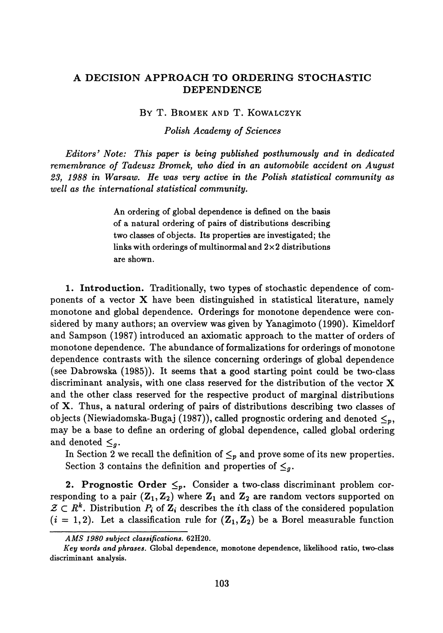## **A DECISION APPROACH TO ORDERING STOCHASTIC DEPENDENCE**

BY T. BROMEK AND T. KOWALCZYK

*Polish Academy of Sciences*

*Editors<sup>9</sup> Note: This paper is being published posthumously and in dedicated remembrance of Tadeusz Bromek, who died in an automobile accident on August 23<sup>f</sup> 1988 in Warsaw. He was very active in the Polish statistical community as well as the international statistical community.*

> An ordering of global dependence is defined on the basis of a natural ordering of pairs of distributions describing two classes of objects. Its properties are investigated; the links with orderings of multinormal and  $2\times 2$  distributions are shown.

**1. Introduction.** Traditionally, two types of stochastic dependence of com ponents of a vector X have been distinguished in statistical literature, namely monotone and global dependence. Orderings for monotone dependence were con sidered by many authors; an overview was given by Yanagimoto (1990). Kimeldorf and Sampson (1987) introduced an axiomatic approach to the matter of orders of monotone dependence. The abundance of formalizations for orderings of monotone dependence contrasts with the silence concerning orderings of global dependence (see Dabrowska (1985)). It seems that a good starting point could be two-class discriminant analysis, with one class reserved for the distribution of the vector X and the other class reserved for the respective product of marginal distributions of X. Thus, a natural ordering of pairs of distributions describing two classes of objects (Niewiadomska-Bugaj (1987)), called prognostic ordering and denoted  $\leq_p,$ may be a base to define an ordering of global dependence, called global ordering and denoted  $\leq_g$ .

In Section 2 we recall the definition of  $\leq_p$  and prove some of its new properties. Section 3 contains the definition and properties of  $\leq_g$ .

**2. Prognostic Order**  $\leq_p$ . Consider a two-class discriminant problem cor responding to a pair  $(\mathbf{Z}_1, \mathbf{Z}_2)$  where  $\mathbf{Z}_1$  and  $\mathbf{Z}_2$  are random vectors supported on  $\mathcal{Z} \subset R^k$ . Distribution  $P_i$  of  $\mathbf{Z}_i$  describes the *i*th class of the considered population  $(i = 1, 2)$ . Let a classification rule for  $(\mathbf{Z}_1, \mathbf{Z}_2)$  be a Borel measurable function

*AMS 1980 subject classifications.* **62H20.**

*Key words and phrases.* **Global dependence, monotone dependence, likelihood ratio, two-class discriminant analysis.**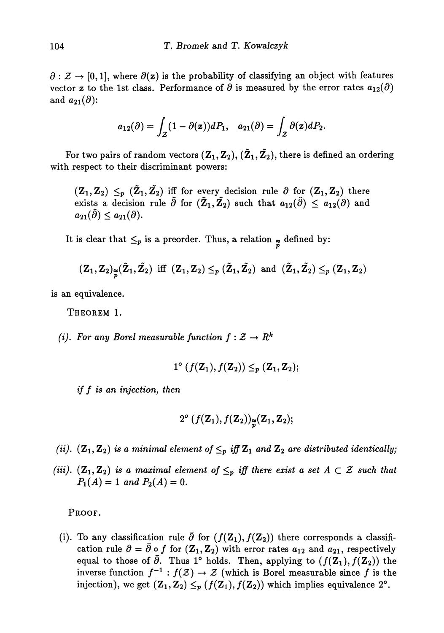$\partial : \mathcal{Z} \to [0,1]$ , where  $\partial(z)$  is the probability of classifying an object with features vector **z** to the 1st class. Performance of  $\partial$  is measured by the error rates  $a_{12}(\partial)$ and  $a_{21}(\partial)$ :

$$
a_{12}(\partial)=\int_{\mathcal{Z}}(1-\partial(\mathbf{z}))dP_1,\quad a_{21}(\partial)=\int_{\mathcal{Z}}\partial(\mathbf{z})dP_2.
$$

For two pairs of random vectors  $({\bf Z}_1,{\bf Z}_2),$   $({\bf Z}_1,{\bf Z}_2),$  there is defined an ordering with respect to their discriminant powers:

 $\leq_p$   $(\mathbf{Z}_1, \mathbf{Z}_2)$  iff for every decision rule  $\partial$  for  $(\mathbf{Z}_1, \mathbf{Z}_2)$  there exists a decision rule  $\tilde{\partial}$  for  $(\tilde{\mathbb{Z}}_1, \tilde{\mathbb{Z}}_2)$  such that  $a_{12}(\tilde{\partial}) \leq a_{12}(\partial)$  and  $a_{21}(\tilde{\partial}) \leq a_{21}(\partial)$ .

It is clear that  $\leq_p$  is a preorder. Thus, a relation  $\frac{1}{p}$  defined by:

$$
(Z_1,Z_2)_{\widetilde{p}}(\widetilde{Z}_1,\widetilde{Z}_2) \text{ iff } (Z_1,Z_2) \leq_p (\widetilde{Z}_1,\widetilde{Z}_2) \text{ and } (\widetilde{Z}_1,\widetilde{Z}_2) \leq_p (Z_1,Z_2)
$$

is an equivalence.

THEOREM 1.

*(i). For any Borel measurable function*  $f: \mathcal{Z} \to \mathbb{R}^k$ 

$$
1^{\circ} \left( f(\mathbf{Z}_{1}), f(\mathbf{Z}_{2}) \right) \leq_{p} (\mathbf{Z}_{1}, \mathbf{Z}_{2});
$$

*if f is an injection, then*

$$
2^o\left(f({\bf Z}_1),f({\bf Z}_2)\right)_{\widetilde{p}}({\bf Z}_1,{\bf Z}_2);
$$

*(ii).*  $(\mathbf{Z}_1, \mathbf{Z}_2)$  is a minimal element of  $\leq_p$  iff  $\mathbf{Z}_1$  and  $\mathbf{Z}_2$  are distributed identically;

*(iii).*  $(\mathbf{Z}_1, \mathbf{Z}_2)$  is a maximal element of  $\leq_p$  iff there exist a set  $A \subset \mathcal{Z}$  such that  $P_1(A) = 1$  and  $P_2(A) = 0$ .

PROOF.

(i). To any classification rule  $\partial$  for  $(f(\mathbf{Z}_1), f(\mathbf{Z}_2))$  there corresponds a classification rule  $\partial = \partial \circ f$  for  $(\mathbf{Z}_1, \mathbf{Z}_2)$  with error rates  $a_{12}$  and  $a_{21}$ , respectively equal to those of  $\partial$ . Thus 1° holds. Then, applying to  $(f(\mathbf{Z}_{1}), f(\mathbf{Z}_{2}))$  the inverse function  $f^{-1}: f(\mathcal{Z}) \rightarrow \mathcal{Z}$  (which is Borel measurable since  $f$  is the injection), we get  $(\mathbf{Z}_1, \mathbf{Z}_2) \leq_p (f(\mathbf{Z}_1), f(\mathbf{Z}_2))$  which implies equivalence  $2^\circ$ .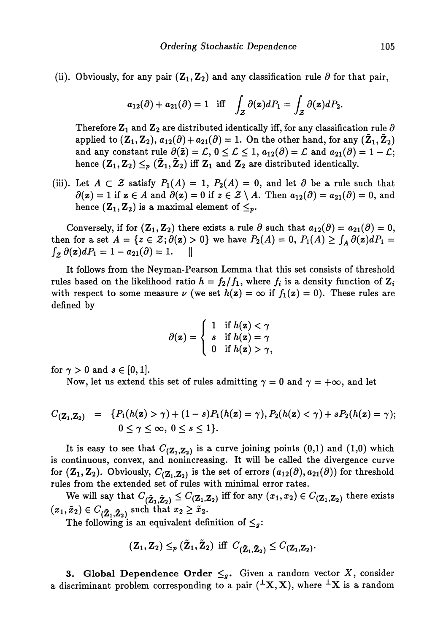(ii). Obviously, for any pair  $(Z_1, Z_2)$  and any classification rule  $\partial$  for that pair,

$$
a_{12}(\partial) + a_{21}(\partial) = 1
$$
 iff  $\int_{\mathcal{Z}} \partial(z) dP_1 = \int_{\mathcal{Z}} \partial(z) dP_2$ .

Therefore  $\mathbf{Z}_1$  and  $\mathbf{Z}_2$  are distributed identically iff, for any classification rule  $\partial$ applied to  $(\mathbf{Z}_1, \mathbf{Z}_2), a_{12}(\partial) + a_{21}(\partial) = 1$ . On the other hand, for any  $(\mathbf{Z}_1, \mathbf{Z}_2)$ and any constant rule  $\partial(\tilde{z}) = \mathcal{L}$ ,  $0 \leq \mathcal{L} \leq 1$ ,  $a_{12}(\partial) = \mathcal{L}$  and  $a_{21}(\partial) = 1 - \mathcal{L}$ ; hence  $(\mathbf{Z}_1, \mathbf{Z}_2) \leq_p (\mathbf{Z}_1, \mathbf{Z}_2)$  iff  $\mathbf{Z}_1$  and  $\mathbf{Z}_2$  are distributed identically.

(iii). Let  $A \subset \mathcal{Z}$  satisfy  $P_1(A) = 1$ ,  $P_2(A) = 0$ , and let  $\partial$  be a rule such that  $\partial(z) = 1$  if  $z \in A$  and  $\partial(z) = 0$  if  $z \in \mathcal{Z} \setminus A$ . Then  $a_{12}(\partial) = a_{21}(\partial) = 0$ , and hence  $(\mathbf{Z}_1, \mathbf{Z}_2)$  is a maximal element of  $\leq_p$ .

Conversely, if for  $(\mathbf{Z}_1, \mathbf{Z}_2)$  there exists a rule  $\partial$  such that  $a_{12}(\partial) = a_{21}(\partial) = 0$ , then for a set  $A = \{z \in \mathcal{Z}; \partial(\mathbf{z}) > 0\}$  we have  $P_2(A) = 0, P_1(A) \geq \int_A \partial(\mathbf{z}) dP_1 = 0$  $\parallel$ 

It follows from the Neyman-Pearson Lemma that this set consists of threshold rules based on the likelihood ratio  $h = f_2/f_1,$  where  $f_i$  is a density function of  $\mathbf{Z}_i$ with respect to some measure  $\nu$  (we set  $h(z) = \infty$  if  $f_1(z) = 0$ ). These rules are defined by

$$
\partial(\mathbf{z}) = \begin{cases} 1 & \text{if } h(\mathbf{z}) < \gamma \\ s & \text{if } h(\mathbf{z}) = \gamma \\ 0 & \text{if } h(\mathbf{z}) > \gamma, \end{cases}
$$

for  $\gamma > 0$  and  $s \in [0,1]$ .

Now, let us extend this set of rules admitting  $\gamma = 0$  and  $\gamma = +\infty$ , and let

$$
C_{(\mathbf{Z}_1, \mathbf{Z}_2)} = \{ P_1(h(\mathbf{z}) > \gamma) + (1 - s) P_1(h(\mathbf{z}) = \gamma), P_2(h(\mathbf{z}) < \gamma) + s P_2(h(\mathbf{z}) = \gamma);
$$
  
  $0 \le \gamma \le \infty, 0 \le s \le 1 \}.$ 

It is easy to see that  $C_{(\mathbf{Z}_1, \mathbf{Z}_2)}$  is a curve joining points  $(0,1)$  and  $(1,0)$  which is continuous, convex, and nonincreasing. It will be called the divergence curve for  $(\mathbf{Z}_1, \mathbf{Z}_2)$ . Obviously,  $C_{(\mathbf{Z}_1, \mathbf{Z}_2)}$  is the set of errors  $(a_{12}(\partial), a_{21}(\partial))$  for threshold rules from the extended set of rules with minimal error rates.

We will say that  $C_{(\mathbf{\tilde{Z}_1}, \mathbf{\tilde{Z}_2})} \leq C_{(\mathbf{Z_1}, \mathbf{Z_2})}$  iff for any  $(x_1, x_2) \in C_{(\mathbf{Z_1}, \mathbf{Z_2})}$  there exists  $(x_1, x_2) \in C_{(\mathbf{\tilde{Z}_1}, \mathbf{\tilde{Z}_2})}$  such that  $x_2 \geq x_2$ 

The following is an equivalent definition of  $\leq_g$ :

$$
(\mathbf{Z}_1,\mathbf{Z}_2)\leq_p (\mathbf{Z}_1,\mathbf{Z}_2) \ \ \text{iff} \ \ C_{(\mathbf{\tilde Z}_1,\mathbf{\tilde Z}_2)}\leq C_{(\mathbf{Z}_1,\mathbf{Z}_2)}.
$$

**3. Global Dependence Order**  $\leq_g$ . Given a random vector X, consider a discriminant problem corresponding to a pair  $({}^{\perp}X,X)$ , where  ${}^{\perp}X$  is a random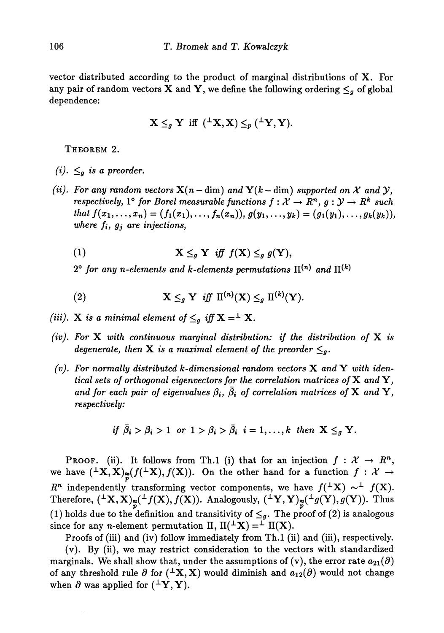vector distributed according to the product of marginal distributions of X. For any pair of random vectors  $\mathbf X$  and  $\mathbf Y,$  we define the following ordering  $\leq_g$  of global dependence:

$$
\mathbf{X} \leq_{g} \mathbf{Y} \text{ iff } (\perp \mathbf{X}, \mathbf{X}) \leq_{p} (\perp \mathbf{Y}, \mathbf{Y}).
$$

THEOREM 2.

- $(i). \leq_g$  *is a preorder.*
- *(ii). For any random vectors*  $X(n dim)$  and  $Y(k dim)$  supported on X and Y,  ${\it respectively, 1^{\circ}}$  for Borel measurable functions  $f: \mathcal{X} \rightarrow R^{n}, \, g: \mathcal{Y} \rightarrow R^{k}$  such that  $f(x_1,...,x_n) = (f_1(x_1),...,f_n(x_n)), g(y_1,...,y_k) = (g_1(y_1),...,g_k(y_k)),$ *where fi, gj are injections*,
	- (1)  $\mathbf{X} \leq_{g} \mathbf{Y}$  *iff*  $f(\mathbf{X}) \leq_{g} g(\mathbf{Y}),$

 $2^{\circ}$  for any n-elements and k-elements permutations  $\Pi^{(n)}$  and

(2) 
$$
\mathbf{X} \leq_{g} \mathbf{Y} \quad \text{iff} \quad \Pi^{(n)}(\mathbf{X}) \leq_{g} \Pi^{(k)}(\mathbf{Y}).
$$

- $(iii)$ .  $X$  *is a minimal element of*  $\leq_g$  *iff*  $X =$   $^{\perp}$   $X$ *.*
- *(iv). For* X *with continuous marginal distribution: if the distribution of* X *is*  $degenerate, then X is a maximal element of the preorder  $\leq_g$ .$
- *(v). For normally distributed k-dimensional random vectors* X *and Y with identical sets of orthogonal eigenvectors for the correlation matrices of* X and Y, *and for each pair of eigenvalues*  $\beta_i$ ,  $\bar{\beta_i}$  *of correlation matrices of* **X** *and* **Y**, *respectively:*

if 
$$
\bar{\beta}_i > \beta_i > 1
$$
 or  $1 > \beta_i > \bar{\beta}_i$   $i = 1, ..., k$  then  $X \leq_g Y$ .

PROOF. (ii). It follows from Th.1 (i) that for an injection  $f: \mathcal{X} \to \mathbb{R}^n$ , we have  $({}^{\perp}\mathbf{X},\mathbf{X})_{\approx}(f({}^{\perp}\mathbf{X}),f(\mathbf{X})).$  On the other hand for a function  $f: \mathcal{X} \to$  $R^n$  independently transforming vector components, we have  $f({}^{\perp}X) \sim^{\perp} f(X)$ . Therefore,  $({}^{\perp}{\rm X},{\rm X})_{\approx}({}^{\perp}f({\rm X}),f({\rm X})).$  Analogously,  $({}^{\perp}{\rm Y},{\rm Y})_{\approx}({}^{\perp}g({\rm Y}),g({\rm Y})).$  Thus (1) holds due to the definition and transitivity of  $\leq_g$ . The proof of (2) is analogous since for any *n*-element permutation  $\Pi$ ,  $\Pi({^{\perp}X}) = {^{\perp} \Pi(X)}$ .

Proofs of (iii) and (iv) follow immediately from Th.1 (ii) and (iii), respectively. (v). By (ii), we may restrict consideration to the vectors with standardized marginals. We shall show that, under the assumptions of (v), the error rate  $a_{21}(\partial)$ of any threshold rule  $\partial$  for  $({^{\perp}\mathbf{X}},\mathbf{X})$  would diminish and  $a_{12}(\partial)$  would not change when  $\partial$  was applied for  $({}^{\perp}\mathbf{Y}, \mathbf{Y}).$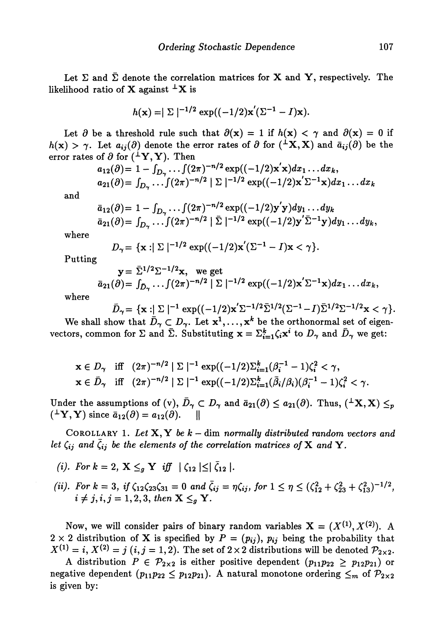Let  $\Sigma$  and  $\overline{\Sigma}$  denote the correlation matrices for **X** and **Y**, respectively. The likelihood ratio of **X** against  $^{\perp}$ **X** is

$$
h(\mathbf{x}) = |\Sigma|^{-1/2} \exp((-1/2)\mathbf{x}'(\Sigma^{-1} - I)\mathbf{x}).
$$

Let  $\partial$  be a threshold rule such that  $\partial(x) = 1$  if  $h(x) < \gamma$  and  $\partial(x) = 0$  if  $h(x) > \gamma$ . Let  $a_{ij}(\partial)$  denote the error rates of  $\partial$  for  $({}^{\perp}X, X)$  and  $\bar{a}_{ij}(\partial)$  be the error rates of  $\partial$  for  $({}^{\perp}{\rm Y},{\rm Y}).$  Then

$$
a_{12}(\partial) = 1 - \int_{D_{\gamma}} \ldots \int (2\pi)^{-n/2} \exp((-1/2) \mathbf{x}' \mathbf{x}) dx_1 \ldots dx_k,
$$
  
\n
$$
a_{21}(\partial) = \int_{D_{\gamma}} \ldots \int (2\pi)^{-n/2} | \Sigma |^{-1/2} \exp((-1/2) \mathbf{x}' \Sigma^{-1} \mathbf{x}) dx_1 \ldots dx_k
$$

and

$$
\bar{a}_{12}(\partial) = 1 - \int_{D_{\gamma}} \dots \int (2\pi)^{-n/2} \exp((-1/2) y' y) dy_1 \dots dy_k
$$
  
\n
$$
\bar{a}_{21}(\partial) = \int_{D_{\gamma}} \dots \int (2\pi)^{-n/2} |\bar{\Sigma}|^{-1/2} \exp((-1/2) y' \bar{\Sigma}^{-1} y) dy_1 \dots dy_k,
$$

where

$$
D_{\gamma} = \{ \mathbf{x} : |\Sigma|^{-1/2} \exp((-1/2)\mathbf{x}'(\Sigma^{-1} - I)\mathbf{x} < \gamma \}.
$$

Putting

$$
\mathbf{y} = \bar{\Sigma}^{1/2} \Sigma^{-1/2} \mathbf{x}, \text{ we get}
$$
  
\n
$$
\bar{a}_{21}(\partial) = \int_{\bar{D}_{\gamma}} \dots \int (2\pi)^{-n/2} |\Sigma|^{-1/2} \exp((-1/2) \mathbf{x}' \Sigma^{-1} \mathbf{x}) dx_1 \dots dx_k,
$$

where

$$
\bar{D}_{\gamma} = \{ \mathbf{x} : |\Sigma|^{-1} \exp((-1/2)\mathbf{x}'\Sigma^{-1/2}\bar{\Sigma}^{1/2}(\Sigma^{-1}-I)\bar{\Sigma}^{1/2}\Sigma^{-1/2}\mathbf{x} < \gamma \}.
$$

We shall show that  $\bar{D}_{\gamma}\subset D_{\gamma}.$  Let  $\mathbf{x}^1,\ldots,\mathbf{x}^k$  be the orthonormal set of eigen vectors, common for  $\Sigma$  and  $\bar{\Sigma}$ . Substituting  $\mathbf{x} = \sum_{i=1}^{k} \zeta_i \mathbf{x}^i$  to  $D_{\gamma}$  and  $\bar{D}_{\gamma}$  we get:

$$
\mathbf{x} \in D_{\gamma} \quad \text{iff} \quad (2\pi)^{-n/2} \mid \Sigma \mid^{-1} \exp((-1/2)\Sigma_{i=1}^{k}(\beta_{i}^{-1} - 1)\zeta_{i}^{2} < \gamma,
$$
\n
$$
\mathbf{x} \in \bar{D}_{\gamma} \quad \text{iff} \quad (2\pi)^{-n/2} \mid \Sigma \mid^{-1} \exp((-1/2)\Sigma_{i=1}^{k}(\bar{\beta}_{i}/\beta_{i})(\beta_{i}^{-1} - 1)\zeta_{i}^{2} < \gamma.
$$

Under the assumptions of (v),  $\bar{D}_{\gamma} \subset D_{\gamma}$  and  $\bar{a}_{21}(\partial) \leq a_{21}(\partial)$ . Thus,  $({}^{\perp}X, X) \leq_p$  $({}^{\perp}{\rm Y},{\rm Y})$  since  $\bar{a}_{12}(\partial)=a_{12}$ 

COROLLARY 1. Ze£ X, Y *be k -* dim *normally distributed random vectors and let*  $\zeta_{ij}$  and  $\zeta_{ij}$  be the elements of the correlation matrices of **X** and **Y**.

- *(i).* For  $k = 2$ ,  $\mathbf{X} \leq_{g} \mathbf{Y}$  iff  $|\zeta_{12}| \leq |\bar{\zeta}_{12}|$ .
- *(ii). For k* = 3, *if*  $\zeta_{12}\zeta_{23}\zeta_{31} = 0$  and  $\zeta_{ij} = \eta\zeta_{ij}$ , for  $1 \leq \eta \leq (\zeta_{12}^2 + \zeta_{23}^2 + \zeta_{13}^2)^{-1/2}$ ,  $i \neq j, i, j = 1, 2, 3,$  then  $X \leq_{\alpha} Y$ .

Now, we will consider pairs of binary random variables  $\mathbf{X} = (X^{(1)}, X^{(2)})$ . A  $2 \times 2$  distribution of **X** is specified by  $P = (p_{ij})$ ,  $p_{ij}$  being the probability that  $X^{(1)}=i,\,X^{(2)}=j\;(i,j=1,2).$  The set of  $2\times 2$  distributions will be denoted

A distribution  $P \in \mathcal{P}_{2\times 2}$  is either positive dependent  $(p_{11}p_{22} \geq p_{12}p_{21})$  of negative dependent  $(p_{11}p_{22} \leq p_{12}p_{21})$ . A natural monotone ordering  $\leq_m$  of  $\mathcal P$ is given by: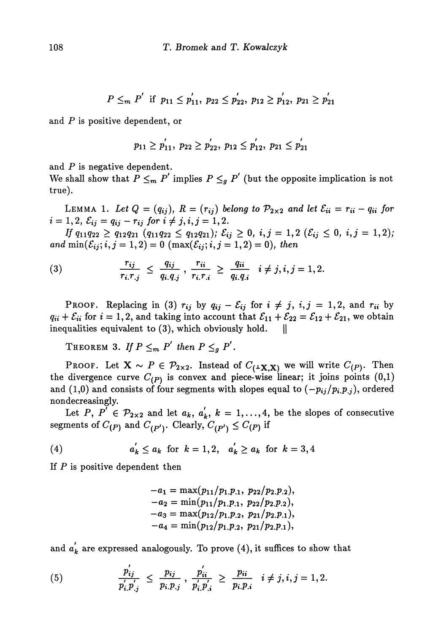$$
P \leq_m P' \text{ if } p_{11} \leq p'_{11}, p_{22} \leq p'_{22}, p_{12} \geq p'_{12}, p_{21} \geq p'_{21}
$$

and *P* is positive dependent, or

$$
p_{11} \geq p'_{11}, p_{22} \geq p'_{22}, p_{12} \leq p'_{12}, p_{21} \leq p'_{21}
$$

and P is negative dependent.

We shall show that  $P \leq_m P'$  implies  $P \leq_g P'$  (but the opposite implication is not true).

LEMMA 1. Let  $Q = (q_{ij})$ ,  $R = (r_{ij})$  belong to  $\mathcal{P}_{2\times 2}$  and let  $\mathcal{E}_{ii} = r_{ii} - q_{ii}$  for  $i = 1, 2, \, \mathcal{E}_{ij} = q_{ij} - r_{ij} \text{ for } i \neq j, i, j = 1, 2.$ 

 $I$ *f*  $q_{11}q_{22} \geq q_{12}q_{21}$   $(q_{11}q_{22} \leq q_{12}q_{21}); \mathcal{E}_{ij} \geq 0, i,j = 1,2 \ (\mathcal{E}_{ij} \leq 0, i,j = 1,2);$  $\min(\mathcal{E}_{ij}; i, j = 1, 2) = 0 \; (\max(\mathcal{E}_{ij}; i, j = 1, 2) = 0),$ 

(3) 
$$
\frac{r_{ij}}{r_i r_{.j}} \leq \frac{q_{ij}}{q_{i.} q_{.j}}, \frac{r_{ii}}{r_{i.} r_{.i}} \geq \frac{q_{ii}}{q_{i.} q_{.i}} \quad i \neq j, i, j = 1, 2.
$$

PROOF. Replacing in (3)  $r_{ij}$  by  $q_{ij} - \mathcal{E}_{ij}$  for  $i \neq j$ ,  $i,j = 1,2$ , and  $r_{ii}$  by  $q_{ii} + \mathcal{E}_{ii}$  for  $i = 1, 2$ , and taking into account that  $\mathcal{E}_{11} + \mathcal{E}_{22} = \mathcal{E}_{12} + \mathcal{E}_{21}$ , we obtain inequalities equivalent to  $(3)$ , which obviously hold.  $\|\cdot\|$ 

THEOREM 3. If  $P \leq_m P'$  then  $P \leq_g P'$ .

Proof. Let  $\mathbf{X} \thicksim P \in \mathcal{P}_{2 \times 2}$ . Instead of  $C_{(\texttt{1}\textbf{X},\textbf{X})}$  we will write  $C_{(P)}.$  Then the divergence curve  $C_{(P)}$  is convex and piece-wise linear; it joins points  $(0,1)$ and (1,0) and consists of four segments with slopes equal to  $(-p_{ij}/p_i p_{.j})$ , ordered nondecreasingly.

Let P,  $P' \in \mathcal{P}_{2\times 2}$  and let  $a_k$ ,  $a'_k$ ,  $k = 1, \ldots, 4$ , be the slopes of consecutive segments of  $C_{(P)}$  and  $C_{(P')}$ . Clearly,  $C_{(P')} \leq C_{(P)}$  if

(4) 
$$
a'_k \le a_k
$$
 for  $k = 1, 2$ ,  $a'_k \ge a_k$  for  $k = 3, 4$ 

If  $P$  is positive dependent then

$$
-a_1 = \max(p_{11}/p_{1.P.1}, p_{22}/p_{2.P.2}),
$$
  
\n
$$
-a_2 = \min(p_{11}/p_{1.P.1}, p_{22}/p_{2.P.2}),
$$
  
\n
$$
-a_3 = \max(p_{12}/p_{1.P.2}, p_{21}/p_{2.P.1}),
$$
  
\n
$$
-a_4 = \min(p_{12}/p_{1.P.2}, p_{21}/p_{2.P.1}),
$$

and  $a_{\bm k}^{'}$  are expressed analogously. To prove (4), it suffices to show that

(5) 
$$
\frac{p_{ij}}{p'_{i}.p'_{.j}} \leq \frac{p_{ij}}{p_{i}.p_{.j}}, \frac{p'_{ii}}{p'_{i}.p'_{.i}} \geq \frac{p_{ii}}{p_{i}.p_{.i}}, i \neq j, i, j = 1, 2.
$$